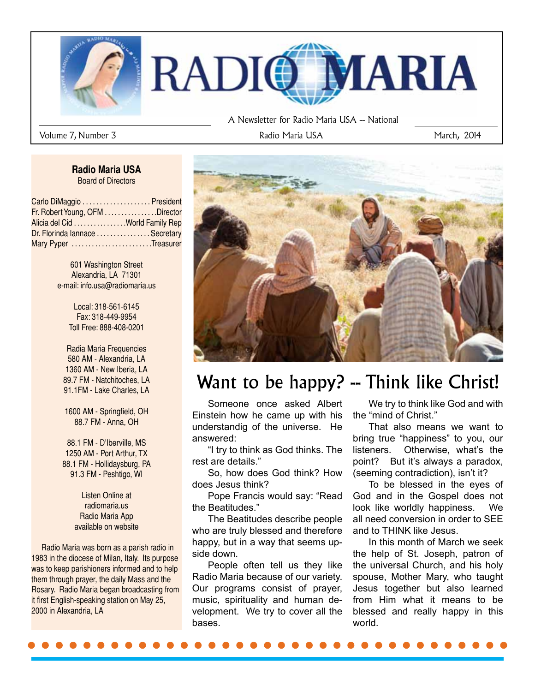

Volume 7, Number 3 and 1980 and 2014 Radio Maria USA March, 2014 and 1980 and 1981 and 1981 and 1981 and 1981 and 1981 and 1981 and 1981 and 1981 and 1981 and 1981 and 1981 and 1981 and 1981 and 1981 and 1981 and 1981 and

#### **Radio Maria USA** Board of Directors

| Carlo DiMaggio  President       |  |
|---------------------------------|--|
| Fr. Robert Young, OFM Director  |  |
| Alicia del Cid World Family Rep |  |
| Dr. Florinda lannace  Secretary |  |
| Mary Pyper Treasurer            |  |

601 Washington Street Alexandria, LA 71301 e-mail: info.usa@radiomaria.us

> Local: 318-561-6145 Fax: 318-449-9954 Toll Free: 888-408-0201

Radia Maria Frequencies 580 AM - Alexandria, LA 1360 AM - New Iberia, LA 89.7 FM - Natchitoches, LA 91.1FM - Lake Charles, LA

1600 AM - Springfield, OH 88.7 FM - Anna, OH

88.1 FM - D'Iberville, MS 1250 AM - Port Arthur, TX 88.1 FM - Hollidaysburg, PA 91.3 FM - Peshtigo, WI

> Listen Online at radiomaria.us Radio Maria App available on website

 Radio Maria was born as a parish radio in 1983 in the diocese of Milan, Italy. Its purpose was to keep parishioners informed and to help them through prayer, the daily Mass and the Rosary. Radio Maria began broadcasting from it first English-speaking station on May 25, 2000 in Alexandria, LA



# Want to be happy? -- Think like Christ!

Someone once asked Albert Einstein how he came up with his understandig of the universe. He answered:

"I try to think as God thinks. The rest are details."

So, how does God think? How does Jesus think?

Pope Francis would say: "Read the Beatitudes."

The Beatitudes describe people who are truly blessed and therefore happy, but in a way that seems upside down.

People often tell us they like Radio Maria because of our variety. Our programs consist of prayer, music, spirituality and human development. We try to cover all the bases.

We try to think like God and with the "mind of Christ."

That also means we want to bring true "happiness" to you, our listeners. Otherwise, what's the point? But it's always a paradox, (seeming contradiction), isn't it?

To be blessed in the eyes of God and in the Gospel does not look like worldly happiness. We all need conversion in order to SEE and to THINK like Jesus.

In this month of March we seek the help of St. Joseph, patron of the universal Church, and his holy spouse, Mother Mary, who taught Jesus together but also learned from Him what it means to be blessed and really happy in this world.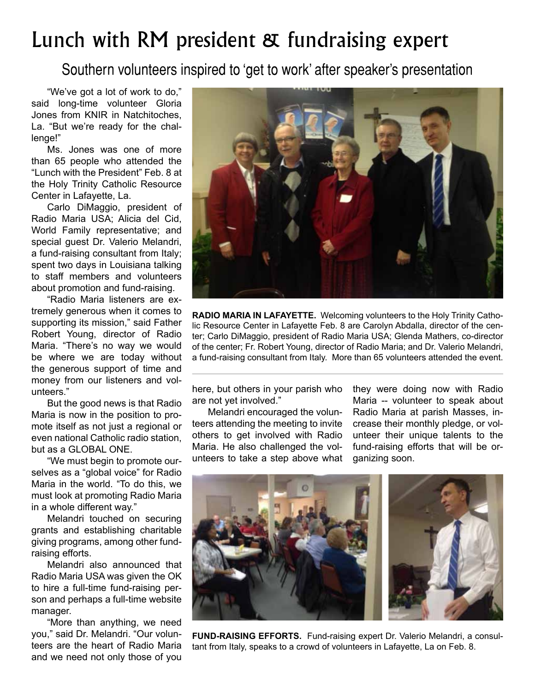# Lunch with RM president & fundraising expert

Southern volunteers inspired to 'get to work' after speaker's presentation

"We've got a lot of work to do," said long-time volunteer Gloria Jones from KNIR in Natchitoches, La. "But we're ready for the challenge!"

Ms. Jones was one of more than 65 people who attended the "Lunch with the President" Feb. 8 at the Holy Trinity Catholic Resource Center in Lafayette, La.

Carlo DiMaggio, president of Radio Maria USA; Alicia del Cid, World Family representative; and special guest Dr. Valerio Melandri, a fund-raising consultant from Italy; spent two days in Louisiana talking to staff members and volunteers about promotion and fund-raising.

"Radio Maria listeners are extremely generous when it comes to supporting its mission," said Father Robert Young, director of Radio Maria. "There's no way we would be where we are today without the generous support of time and money from our listeners and volunteers."

But the good news is that Radio Maria is now in the position to promote itself as not just a regional or even national Catholic radio station, but as a GLOBAL ONE.

"We must begin to promote ourselves as a "global voice" for Radio Maria in the world. "To do this, we must look at promoting Radio Maria in a whole different way."

Melandri touched on securing grants and establishing charitable giving programs, among other fundraising efforts.

Melandri also announced that Radio Maria USA was given the OK to hire a full-time fund-raising person and perhaps a full-time website manager.

"More than anything, we need you," said Dr. Melandri. "Our volunteers are the heart of Radio Maria and we need not only those of you



**RADIO MARIA IN LAFAYETTE.** Welcoming volunteers to the Holy Trinity Catholic Resource Center in Lafayette Feb. 8 are Carolyn Abdalla, director of the center; Carlo DiMaggio, president of Radio Maria USA; Glenda Mathers, co-director of the center; Fr. Robert Young, director of Radio Maria; and Dr. Valerio Melandri, a fund-raising consultant from Italy. More than 65 volunteers attended the event.

here, but others in your parish who are not yet involved."

Melandri encouraged the volunteers attending the meeting to invite others to get involved with Radio Maria. He also challenged the volunteers to take a step above what they were doing now with Radio Maria -- volunteer to speak about Radio Maria at parish Masses, increase their monthly pledge, or volunteer their unique talents to the fund-raising efforts that will be organizing soon.



**FUND-RAISING EFFORTS.** Fund-raising expert Dr. Valerio Melandri, a consultant from Italy, speaks to a crowd of volunteers in Lafayette, La on Feb. 8.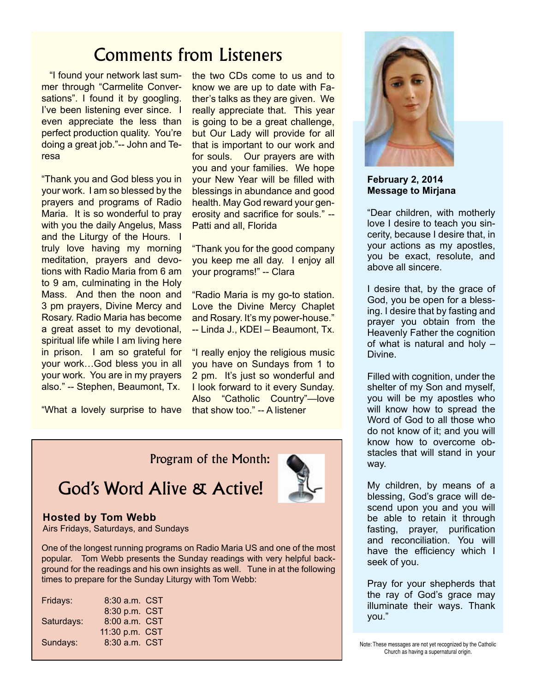## Comments from Listeners

 "I found your network last summer through "Carmelite Conversations". I found it by googling. I've been listening ever since. I even appreciate the less than perfect production quality. You're doing a great job."-- John and Teresa

"Thank you and God bless you in your work. I am so blessed by the prayers and programs of Radio Maria. It is so wonderful to pray with you the daily Angelus, Mass and the Liturgy of the Hours. I truly love having my morning meditation, prayers and devotions with Radio Maria from 6 am to 9 am, culminating in the Holy Mass. And then the noon and 3 pm prayers, Divine Mercy and Rosary. Radio Maria has become a great asset to my devotional, spiritual life while I am living here in prison. I am so grateful for your work…God bless you in all your work. You are in my prayers also." -- Stephen, Beaumont, Tx.

"What a lovely surprise to have that show too." -- A listener

the two CDs come to us and to know we are up to date with Father's talks as they are given. We really appreciate that. This year is going to be a great challenge. but Our Lady will provide for all that is important to our work and for souls. Our prayers are with you and your families. We hope your New Year will be filled with blessings in abundance and good health. May God reward your generosity and sacrifice for souls." -- Patti and all, Florida

"Thank you for the good company you keep me all day. I enjoy all your programs!" -- Clara

"Radio Maria is my go-to station. Love the Divine Mercy Chaplet and Rosary. It's my power-house." -- Linda J., KDEI - Beaumont, Tx.

"I really enjoy the religious music you have on Sundays from 1 to 2 pm. It's just so wonderful and I look forward to it every Sunday. Also "Catholic Country"—love

Program of the Month:

God's Word Alive & Active!

#### **Hosted by Tom Webb**

Airs Fridays, Saturdays, and Sundays

One of the longest running programs on Radio Maria US and one of the most popular. Tom Webb presents the Sunday readings with very helpful background for the readings and his own insights as well. Tune in at the following times to prepare for the Sunday Liturgy with Tom Webb:

| Fridays:   | 8:30 a.m. CST  |  |
|------------|----------------|--|
|            | 8:30 p.m. CST  |  |
| Saturdays: | 8:00 a.m. CST  |  |
|            | 11:30 p.m. CST |  |
| Sundays:   | 8:30 a.m. CST  |  |
|            |                |  |



**February 2, 2014 Message to Mirjana** 

"Dear children, with motherly love I desire to teach you sincerity, because I desire that, in your actions as my apostles, you be exact, resolute, and above all sincere.

I desire that, by the grace of God, you be open for a blessing. I desire that by fasting and prayer you obtain from the Heavenly Father the cognition of what is natural and holy – Divine.

Filled with cognition, under the shelter of my Son and myself, you will be my apostles who will know how to spread the Word of God to all those who do not know of it; and you will know how to overcome obstacles that will stand in your way.

My children, by means of a blessing, God's grace will descend upon you and you will be able to retain it through fasting, prayer, purification and reconciliation. You will have the efficiency which I seek of you.

Pray for your shepherds that the ray of God's grace may illuminate their ways. Thank you."

Note: These messages are not yet recognized by the Catholic Church as having a supernatural origin.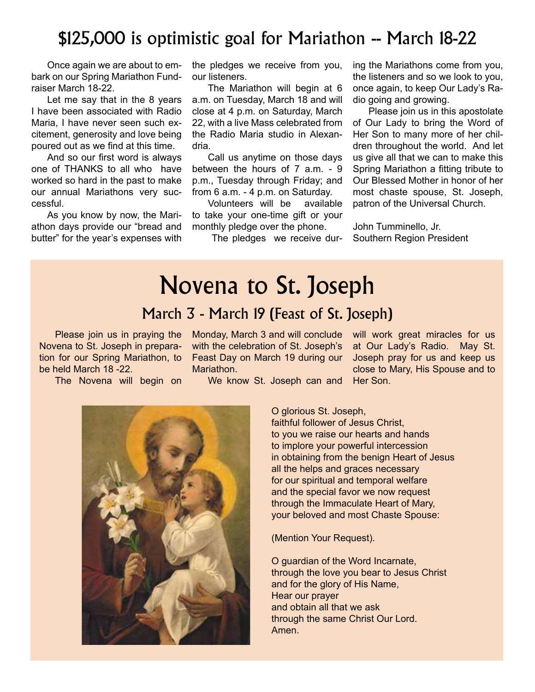### \$125,000 is optimistic goal for Mariathon -- March 18-22

Once again we are about to embark on our Spring Mariathon Fundraiser March 18-22.

Let me say that in the 8 years I have been associated with Radio Maria, I have never seen such excitement, generosity and love being poured out as we find at this time.

And so our first word is always one of THANKS to all who have worked so hard in the past to make our annual Mariathons very successful.

As you know by now, the Mariathon days provide our "bread and butter" for the year's expenses with

the pledges we receive from you, our listeners.

The Mariathon will begin at 6 a.m. on Tuesday, March 18 and will close at 4 p.m. on Saturday, March 22, with a live Mass celebrated from the Radio Maria studio in Alexandria.

Call us anytime on those days between the hours of 7 a.m. - 9 p.m., Tuesday through Friday; and from 6 a.m. - 4 p.m. on Saturday.

Volunteers will be available to take your one-time gift or your monthly pledge over the phone.

The pledges we receive dur-

ing the Mariathons come from you, the listeners and so we look to you, once again, to keep Our Lady's Radio going and growing.

Please join us in this apostolate of Our Lady to bring the Word of Her Son to many more of her children throughout the world. And let us give all that we can to make this Spring Mariathon a fitting tribute to Our Blessed Mother in honor of her most chaste spouse, St. Joseph, patron of the Universal Church.

John Tumminello, Jr. Southern Region President

# Novena to St. Joseph

#### March 3 - March 19 (Feast of St. Joseph)

Please join us in praying the Novena to St. Joseph in preparation for our Spring Mariathon, to be held March 18 -22.

The Novena will begin on

Monday, March 3 and will conclude with the celebration of St. Joseph's Feast Day on March 19 during our Mariathon.

We know St. Joseph can and



O glorious St. Joseph, faithful follower of Jesus Christ, to you we raise our hearts and hands to implore your powerful intercession in obtaining from the benign Heart of Jesus all the helps and graces necessary for our spiritual and temporal welfare and the special favor we now request through the Immaculate Heart of Mary, your beloved and most Chaste Spouse:

(Mention Your Request).

O guardian of the Word Incarnate, through the love you bear to Jesus Christ and for the glory of His Name, Hear our prayer and obtain all that we ask through the same Christ Our Lord. Amen.

will work great miracles for us at Our Lady's Radio. May St. Joseph pray for us and keep us close to Mary, His Spouse and to Her Son.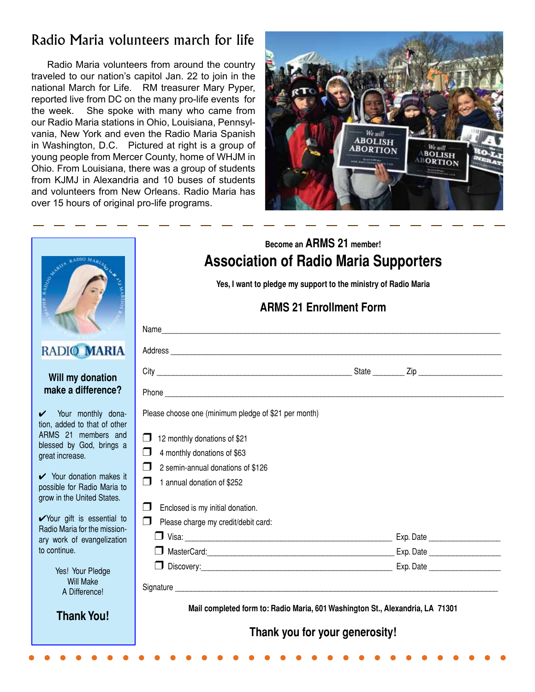### Radio Maria volunteers march for life

Radio Maria volunteers from around the country traveled to our nation's capitol Jan. 22 to join in the national March for Life. RM treasurer Mary Pyper, reported live from DC on the many pro-life events for the week. She spoke with many who came from our Radio Maria stations in Ohio, Louisiana, Pennsylvania, New York and even the Radio Maria Spanish in Washington, D.C. Pictured at right is a group of young people from Mercer County, home of WHJM in Ohio. From Louisiana, there was a group of students from KJMJ in Alexandria and 10 buses of students and volunteers from New Orleans. Radio Maria has over 15 hours of original pro-life programs.



|                                                                                                                                                                                                                                                                                                                                | Become an ARMS 21 member!<br><b>Association of Radio Maria Supporters</b><br>Yes, I want to pledge my support to the ministry of Radio Maria<br><b>ARMS 21 Enrollment Form</b><br>Name                                                                                                                                                   |  |  |  |  |
|--------------------------------------------------------------------------------------------------------------------------------------------------------------------------------------------------------------------------------------------------------------------------------------------------------------------------------|------------------------------------------------------------------------------------------------------------------------------------------------------------------------------------------------------------------------------------------------------------------------------------------------------------------------------------------|--|--|--|--|
|                                                                                                                                                                                                                                                                                                                                |                                                                                                                                                                                                                                                                                                                                          |  |  |  |  |
| GRIM RADIAN ROAD                                                                                                                                                                                                                                                                                                               |                                                                                                                                                                                                                                                                                                                                          |  |  |  |  |
| RADIO MARIA                                                                                                                                                                                                                                                                                                                    |                                                                                                                                                                                                                                                                                                                                          |  |  |  |  |
| Will my donation<br>make a difference?                                                                                                                                                                                                                                                                                         |                                                                                                                                                                                                                                                                                                                                          |  |  |  |  |
| V Your monthly dona-<br>tion, added to that of other<br>ARMS 21 members and<br>blessed by God, brings a<br>great increase.<br>V Your donation makes it<br>possible for Radio Maria to<br>grow in the United States.<br>Vour gift is essential to<br>Radio Maria for the mission-<br>ary work of evangelization<br>to continue. | Please choose one (minimum pledge of \$21 per month)<br>12 monthly donations of \$21<br>$\mathsf{L}$<br>4 monthly donations of \$63<br>  J<br>$\Box$<br>2 semin-annual donations of \$126<br>$\Box$<br>1 annual donation of \$252<br>Enclosed is my initial donation.<br>$\blacksquare$<br>Please charge my credit/debit card:<br>$\Box$ |  |  |  |  |
| Yes! Your Pledge<br><b>Will Make</b><br>A Difference!                                                                                                                                                                                                                                                                          | Signature                                                                                                                                                                                                                                                                                                                                |  |  |  |  |
| <b>Thank You!</b>                                                                                                                                                                                                                                                                                                              | Mail completed form to: Radio Maria, 601 Washington St., Alexandria, LA 71301<br>Thank you for your generosity!                                                                                                                                                                                                                          |  |  |  |  |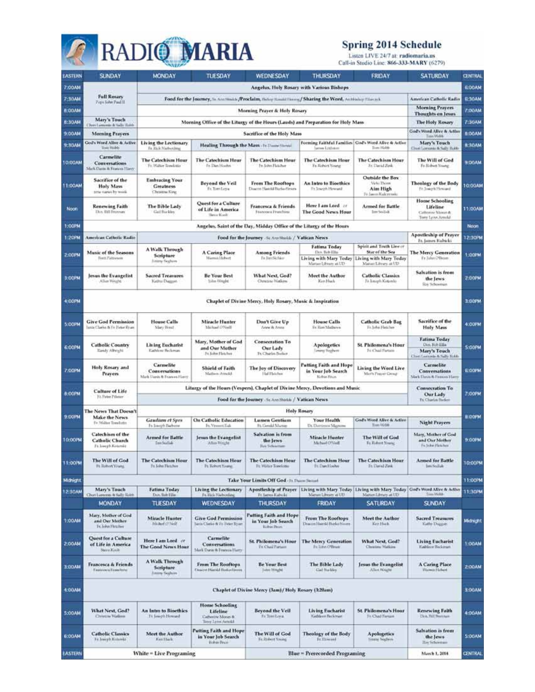# **RADIO MARIA**

# **Spring 2014 Schedule**<br>Listen LIVE 24/7 at radiomaria.us<br>Call-in Studio Line: 866-333-MARY (6279)

| <b>EASTERN</b> | <b>SUNDAY</b>                                                       | <b>MONDAY</b>                                                                                        | TUESDAY                                                                  | WEDNESDAY                                                                         | THURSDAY                                                                                           | <b>FRIDAY</b>                                                       | <b>SATURDAY</b>                                                                                 | <b>CENTRAL</b> |
|----------------|---------------------------------------------------------------------|------------------------------------------------------------------------------------------------------|--------------------------------------------------------------------------|-----------------------------------------------------------------------------------|----------------------------------------------------------------------------------------------------|---------------------------------------------------------------------|-------------------------------------------------------------------------------------------------|----------------|
| 7:00/44        | Angelus, Holy Rosary with Various Bishops                           |                                                                                                      |                                                                          |                                                                                   |                                                                                                    |                                                                     |                                                                                                 | <b>6:00AM</b>  |
| 7-30AM         | <b>Full Rosary</b>                                                  | Food for the Journey, in Antibalds /Proclaim, theory Kould Henry / Sharing the Word, Autobio Photosk |                                                                          |                                                                                   |                                                                                                    |                                                                     | American Catholic Radio                                                                         | <b>E30AM</b>   |
| 8:00/M         | <b>Type folm Paul II</b>                                            | Morning Prayer & Holy Rosary                                                                         |                                                                          |                                                                                   |                                                                                                    |                                                                     | <b>Moming Prayers</b>                                                                           | 7:00AM         |
| <b>B:30AM</b>  | Mary's Touch                                                        |                                                                                                      |                                                                          |                                                                                   | Morning Office of the Liturgy of the Hours (Lauds) and Preparation for Holy Mass                   |                                                                     | <b>Thoughts</b> on Jesus<br><b>The Holy Rosary</b>                                              | 7:30AM         |
|                | Chert Lemonde & York: Robb                                          |                                                                                                      |                                                                          |                                                                                   |                                                                                                    |                                                                     | God's Word Alive & Active                                                                       |                |
| 9:00AM         | <b>Morning Prayers</b><br>God's Word Alive & Active                 |                                                                                                      |                                                                          | Sacrifice of the Holy Mass                                                        | Forming Faithful Families   God's Word Allye & Arthur                                              |                                                                     | Time Work                                                                                       | <b>B:OOAM</b>  |
| 9:30AM         | Tors Wilds                                                          | Living the Lectionary<br>Fr. Rick Nieberdin                                                          |                                                                          | Healing Through the Mass - In Daniel Stenil                                       | wrws Lithian                                                                                       | Tires Hidde                                                         | Mary's Touch<br>Clusi Lorumbi & Sally Robb                                                      | <b>H: SOAM</b> |
| 10:00AM        | Carmelite<br>Conversations<br>Mark Davis & Francos Harry            | <b>The Catechism Hour</b><br>Fr. Walter Terrolistic                                                  | The Catechism Hour<br>Fr Dan Hochn                                       | <b>The Catechism Hour</b><br>Fr. John Hatcher                                     | <b>The Catechism Hour</b><br>Fr. Robert Young                                                      | <b>The Catechism Hour</b><br>Fr. David Zirk                         | The Will of God<br>Fr. Bisbett Young                                                            | <b>B:DOAM</b>  |
| 11:00AM        | Sacrifice of the<br><b>Holy Mass</b><br>terne marten by wood.       | <b>Embracing Your</b><br><b>Greatness</b><br>Christina King                                          | Beyond the Veil<br>En Tom Losa                                           | From The Rooftops<br>Disacron Hawkill Burke-Sirvers                               | An Intro to Bioethics<br>Fa Travish Howwell                                                        | Outside the Bax<br>Vicki Thiers<br>Aim High<br>Tri.Janun Kolcerrolu | Theology of the Body<br>Fr. Joseph Hewwell                                                      | 10:00AM        |
| Noon           | Renewing Faith<br>Disn, Bill Reserves                               | The Bible Lady<br>Gail Buckles                                                                       | Quest for a Culture<br>of Life in America<br><b>Terry Kinds</b>          | Francesca & Friends<br>Francesca Franchista                                       | Here I am Lord at<br><b>The Good News Hour</b>                                                     | Armed for Battle<br>lim Soldak                                      | Home Schooling<br>Lifeline<br>Cathresse Meron &<br>Terry Lynn Arreld                            | 11:00AM        |
| 1:00PM         |                                                                     |                                                                                                      |                                                                          | Angelus, Saint of the Day, Midday Office of the Liturgy of the Hours              |                                                                                                    |                                                                     |                                                                                                 | Noon           |
| 1:20FW         | <b>American Catholic Radio</b>                                      |                                                                                                      |                                                                          | Food for the Journey Schoolsoid: / Vatican News                                   |                                                                                                    |                                                                     | <b>Apostleship of Prayer</b><br>Fr. James Kuhicki                                               | 12:30PM        |
|                |                                                                     | A Walk Through                                                                                       |                                                                          |                                                                                   | <b>Fatima Today</b>                                                                                | Spirit and Truth Live or                                            |                                                                                                 |                |
| 2:00 PM        | Music of the Seasons<br>Hyers Patternery                            | Scripture<br>Sintern Seghurn                                                                         | A Caring Place<br>Warmshildeburt                                         | <b>Among Friends</b><br>Fr JimSchier                                              | Do. R&Ells<br>Living with Mary Today<br>Marjan Library at UD                                       | Star of the Sea<br>Living with Mary Today<br>Mainet Library at UD   | <b>The Mercy Generation</b><br>Et Juliet O'Brien                                                | 1:00PM         |
| 3:ODPM         | lesus the Evangelist<br>Allun Wright                                | <b>Sacred Treasures</b><br>Kathie Diaman                                                             | <b>Be Your Best</b><br>John Wright                                       | What Next, God?<br>Chrassa Walking                                                | Meet the Author<br>Ken Hack                                                                        | Catholic Classics<br>Fit Longsb Kotzenhi                            | Salvation is from<br>the Jews<br><b>Rei Schormer</b>                                            | 2.00PM         |
| 4:00PM         |                                                                     | Chaplet of Divine Mercy, Holy Rosary, Music & Inspiration                                            |                                                                          |                                                                                   |                                                                                                    |                                                                     |                                                                                                 |                |
| 5:OOPM         | <b>Give God Permission</b><br>ania Clarke & Fr Pelor Ryan           | <b>House Calls</b><br>Mary Breat                                                                     | Miracle Hunter<br>Michael (297ml)                                        | Don't Give Up<br>Ariew B: Arina                                                   | <b>House Calls</b><br>Fr: Rom Mathown                                                              | <b>Catholic Grab Bag</b><br>Er. John Fletcher                       | <b>Sacrifice of the</b><br><b>Holy Mass</b>                                                     | 4.00PM         |
| 6:00FM         | <b>Catholic Country</b><br>Kandy Albright                           | <b>Living Eucharist</b><br>Kathlene Beckman                                                          | Mary, Mother of God<br>and Our Mother<br>Fri. Kollen Flaskchen           | <b>Consecration To</b><br>Our Lady<br>Fr. Charles Bocker                          | <b>Apologetics</b><br>Irene Sechen                                                                 | <b>St. Philomena's Hour</b><br>Fri Chail Fartato                    | <b>Fatima Today</b><br>Din For Ella<br>Mary's Touch                                             | <b>S:COPM</b>  |
| 7:ODPM         | Holy Rosary and<br>Prayers                                          | Carmelite<br>Conversations<br>Mark Llank & Frances Harry                                             | <b>Shield of Faith</b><br>Malleyn Armskil                                | The Joy of Discovery<br>Hal Haichee                                               | Putting Faith and Hope<br>in Your Job Search<br>Kelsin Trun                                        | Living the Word Live<br>Merc's Prayer Group                         | Class Lamonia & Sally Ridds<br><b>Carmelite</b><br>Conversations<br>Mark Elonis & Fearers Harry | <b>ELCOPM</b>  |
|                |                                                                     |                                                                                                      |                                                                          |                                                                                   | Liturgy of the Hours (Vespers), Chaplet of Divine Mercy, Devotions and Music                       |                                                                     | <b>Consecration To</b>                                                                          |                |
| <b>B:ODFM</b>  | Culture of Life<br>Ft. Voter Printer                                | Our Lady<br>Food for the Journey Sc Annihirin / Vatican News                                         |                                                                          |                                                                                   | <b>Fr. Charles Hielers</b>                                                                         | 7:00PM                                                              |                                                                                                 |                |
|                | The News That Doesn't                                               |                                                                                                      |                                                                          |                                                                                   | <b>Holy Rosary</b>                                                                                 |                                                                     |                                                                                                 |                |
| 9:00PM         | Make the News                                                       | <b>Gaudian et Spes</b>                                                                               | On Catholic Education                                                    | <b>Lumen Gentium</b>                                                              | Your Health                                                                                        | God's Word Alive & Adive                                            |                                                                                                 | 8.00PM         |
|                | Fr Walter Torrelatto                                                | In Joseph Barbons                                                                                    | Fe, Ylewort Eak                                                          | Ft. Gerald Marian                                                                 | Dr. Deiniesos Magnores                                                                             | Tixes VG/64:                                                        | Night Prayers                                                                                   |                |
| 10:00PM        | Catechism of the<br>Catholic Church<br>Ft. Longh Kotenia            | <b>Armed for Battle</b><br>Toys Southek-                                                             | Jesus the Evangelist<br>Allon Wright                                     | Salvation in from<br>the Jews<br>Rey Televition                                   | <b>Miracle Hunter</b><br>Michael O'Medi                                                            | The Will of God<br>Fo. Ridwet Mourns                                | Mary, Mother of God<br>and Our Mother<br>Fe John Fletches                                       | 9:00PM         |
| 11:00%         | The Will of God<br>Ft. Suburt Young                                 | <b>The Catechism Hour</b><br>Fu Tobu Fletcher                                                        | <b>The Catechism Hour</b><br><b>Ft Kalent Young</b>                      | <b>The Catechism Hour</b><br>Ft: Walter Topelone                                  | The Catechism Hour<br><b>Fil Darchfoches</b>                                                       | <b>The Catechism Hour</b><br>Fit David Zink                         | <b>Armed for Battle</b><br>Jim Sodiak                                                           | 10:00PM        |
| Midnight       |                                                                     | 11:00PM<br>Take Your Limits Off God - Ft Duam Stemmt                                                 |                                                                          |                                                                                   |                                                                                                    |                                                                     |                                                                                                 |                |
| 12:30 AM       | Mary's Touch                                                        | <b>Fatima Today</b>                                                                                  | <b>Living the Lectionary</b>                                             |                                                                                   | Apostleship of Prayer   Living with Mary Today   Living with Mary Today   God's Word Alive & Adler |                                                                     |                                                                                                 | 11:30PM        |
|                | Churt Lannong: & Saffy Rolet                                        | Don, Bole Ellis                                                                                      | Fr. Elicie Nieberdine                                                    | Fr. James Karrello                                                                | Manan Library at UD                                                                                | Martiet Library at UO                                               | Time Webli                                                                                      |                |
| 1:00AM         | MONDAY<br>Mary, Mother of God<br>and Our Mother<br>Tr. John Hitcher | TUESDAY<br>Miracle Hunter<br>Michael Clifford                                                        | WEDNESDAY<br><b>Give God Permission</b><br>Juris Clarke & Fr Peter Eyart | THURSDAY<br>Putting Faith and Hope<br>in Your Job Search<br><b>Birbin Philips</b> | FRIDAY<br><b>From The Rooftops</b><br>Dogoon Hamid the koloisen                                    | SATURDAY<br><b>Meet the Author</b><br>Keit Huck                     | <b>SUNDAY</b><br><b>Sacred Treasures</b><br>Kabe Duggan                                         | Midnight       |
| 2:00AM         | Quest for a Culture.<br>of Life in America<br>Steve Kitch           | Here I am Lord or<br>The Good News Hour                                                              | <b>Carmelite</b><br>Conversations<br>Mark Dunic & Feature Harry          | <b>St. Philomena's Hour</b><br><b>Fr. Chail Partain</b>                           | <b>The Mercy Generation</b><br>Et John O'Brign                                                     | What Next, God?<br>Christin: Walkins                                | <b>Living Eucharist</b><br>Kalifecer Beckman                                                    | 1:00AM         |
| 3:00AM         | <b>Francesca &amp; Friends</b><br>Financoura Espechene              | A Walk Through<br>Scripture<br><b>Jimmy Teahirs</b>                                                  | From The Rooftops<br><b>Crossovt Hamild Rushardipyres</b>                | <b>Be Your Best</b><br>Triden Wingba                                              | The Bible Lady<br>Gial Biskies                                                                     | <b>Jesus the Evangelist</b><br>Allen Wright                         | A Caring Place<br>Warmid Habert                                                                 | 2:00AM         |
| 4:00AM         |                                                                     | Chaplet of Divine Mercy (3am) / Holy Rosary (3:20am)                                                 |                                                                          |                                                                                   |                                                                                                    |                                                                     |                                                                                                 | 3:00AM         |
| 5:00AM         | What Next, God?<br>Christma Walkerer                                | An Intro to Bioethics<br>Ti Jamph Howard                                                             | Home Schooling<br>Lifeling<br>Catherine Monas &<br>Terry Lann Arnold     | <b>Beyond the Veil</b><br>Fir Tom Lora                                            | Living Eucharist<br><b>Gathiern Beckman</b>                                                        | <b>St. Philomena's Hour</b><br>Fr. Chaž Forsam                      | Renewing Faith<br>Disk Will Bernham                                                             | 4:00AM         |
| 6:00AM         | <b>Catholic Classics</b><br>Fr Joseph Koloniki                      | Meet the Author<br>Kan Thank                                                                         | Putting Faith and Hope<br>in Your Job Search<br>Robas Bruin              | The Will of God<br>Fr. Robert Young                                               | Theology of the Body<br>Fr.Threned                                                                 | <b>Apologetics</b><br>Timmy Segfrow                                 | Salvation is from<br>the Jews<br><b>Hoy Schorman</b>                                            | <b>S:OOAM</b>  |
| EASTERN        |                                                                     | White $=$ Live Programing                                                                            |                                                                          |                                                                                   | <b>Blue = Prerecorded Programing</b>                                                               |                                                                     | March 1, 2014                                                                                   | œntral         |